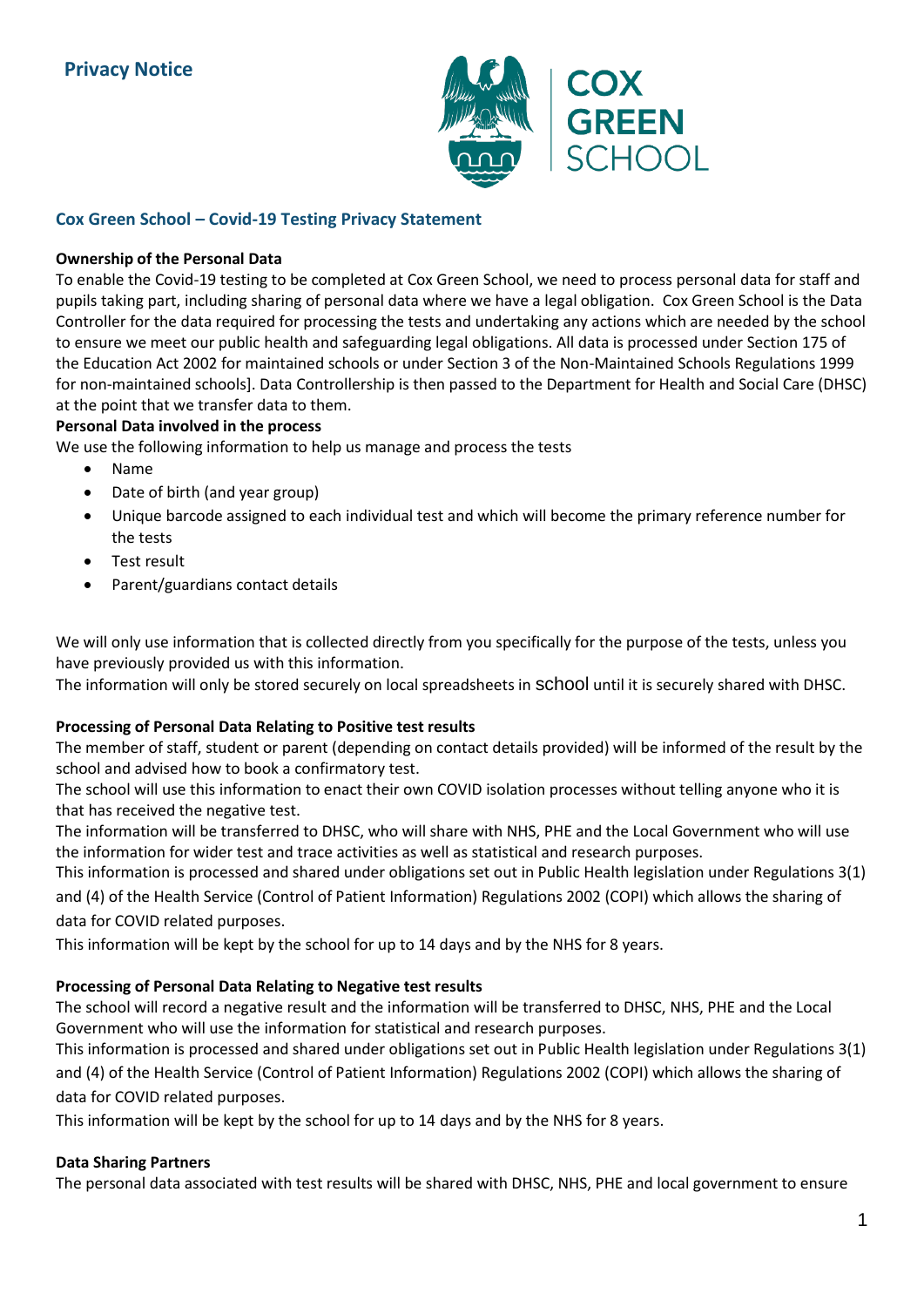

# **Cox Green School – Covid-19 Testing Privacy Statement**

# **Ownership of the Personal Data**

To enable the Covid-19 testing to be completed at Cox Green School, we need to process personal data for staff and pupils taking part, including sharing of personal data where we have a legal obligation. Cox Green School is the Data Controller for the data required for processing the tests and undertaking any actions which are needed by the school to ensure we meet our public health and safeguarding legal obligations. All data is processed under Section 175 of the Education Act 2002 for maintained schools or under Section 3 of the Non-Maintained Schools Regulations 1999 for non-maintained schools]. Data Controllership is then passed to the Department for Health and Social Care (DHSC) at the point that we transfer data to them.

# **Personal Data involved in the process**

We use the following information to help us manage and process the tests

- Name
- Date of birth (and year group)
- Unique barcode assigned to each individual test and which will become the primary reference number for the tests
- Test result
- Parent/guardians contact details

We will only use information that is collected directly from you specifically for the purpose of the tests, unless you have previously provided us with this information.

The information will only be stored securely on local spreadsheets in school until it is securely shared with DHSC.

# **Processing of Personal Data Relating to Positive test results**

The member of staff, student or parent (depending on contact details provided) will be informed of the result by the school and advised how to book a confirmatory test.

The school will use this information to enact their own COVID isolation processes without telling anyone who it is that has received the negative test.

The information will be transferred to DHSC, who will share with NHS, PHE and the Local Government who will use the information for wider test and trace activities as well as statistical and research purposes.

This information is processed and shared under obligations set out in Public Health legislation under Regulations 3(1) and (4) of the Health Service (Control of Patient Information) Regulations 2002 (COPI) which allows the sharing of data for COVID related purposes.

This information will be kept by the school for up to 14 days and by the NHS for 8 years.

# **Processing of Personal Data Relating to Negative test results**

The school will record a negative result and the information will be transferred to DHSC, NHS, PHE and the Local Government who will use the information for statistical and research purposes.

This information is processed and shared under obligations set out in Public Health legislation under Regulations 3(1) and (4) of the Health Service (Control of Patient Information) Regulations 2002 (COPI) which allows the sharing of data for COVID related purposes.

This information will be kept by the school for up to 14 days and by the NHS for 8 years.

# **Data Sharing Partners**

The personal data associated with test results will be shared with DHSC, NHS, PHE and local government to ensure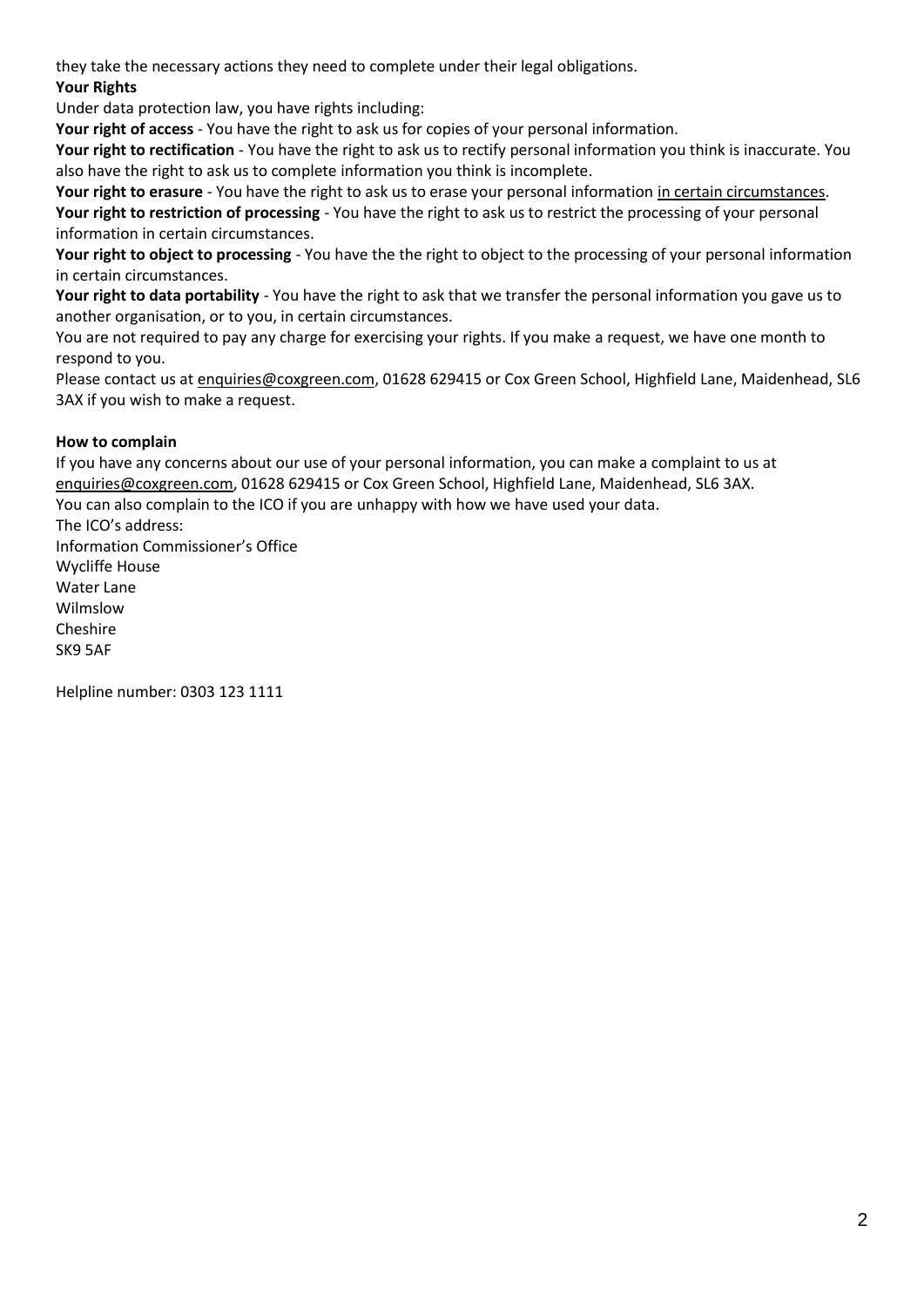they take the necessary actions they need to complete under their legal obligations.

# **Your Rights**

Under data protection law, you have rights including:

**Your right of access** - You have the right to ask us for copies of your personal information.

**Your right to rectification** - You have the right to ask us to rectify personal information you think is inaccurate. You also have the right to ask us to complete information you think is incomplete.

**Your right to erasure** - You have the right to ask us to erase your personal information in certain circumstances. **Your right to restriction of processing** - You have the right to ask us to restrict the processing of your personal information in certain circumstances.

**Your right to object to processing** - You have the the right to object to the processing of your personal information in certain circumstances.

**Your right to data portability** - You have the right to ask that we transfer the personal information you gave us to another organisation, or to you, in certain circumstances.

You are not required to pay any charge for exercising your rights. If you make a request, we have one month to respond to you.

Please contact us at [enquiries@coxgreen.com,](mailto:enquiries@coxgreen.com) 01628 629415 or Cox Green School, Highfield Lane, Maidenhead, SL6 3AX if you wish to make a request.

# **How to complain**

If you have any concerns about our use of your personal information, you can make a complaint to us at [enquiries@coxgreen.com,](mailto:enquiries@coxgreen.com) 01628 629415 or Cox Green School, Highfield Lane, Maidenhead, SL6 3AX. You can also complain to the ICO if you are unhappy with how we have used your data. The ICO's address:

Information Commissioner's Office Wycliffe House Water Lane Wilmslow Cheshire SK9 5AF

Helpline number: 0303 123 1111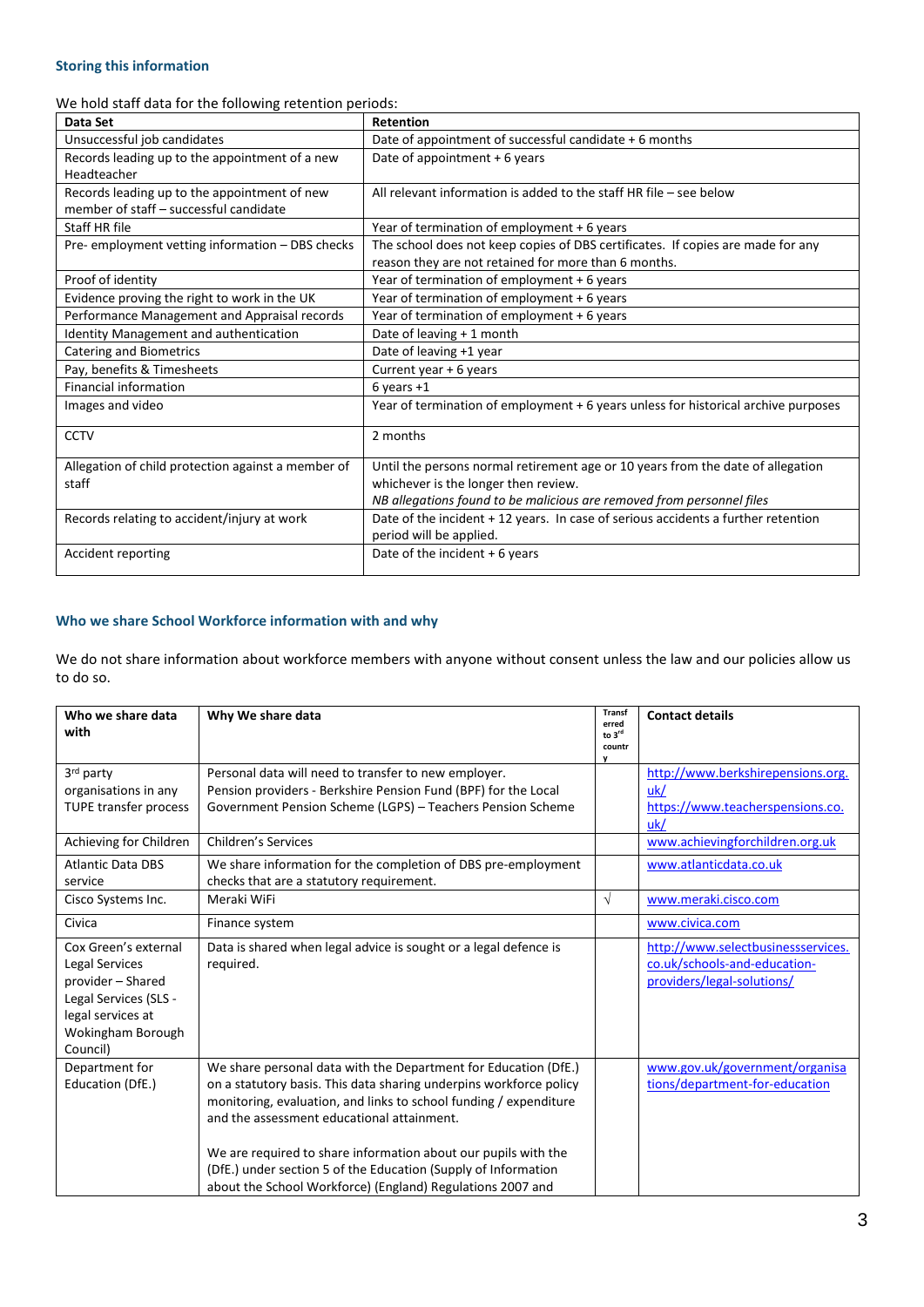### **Storing this information**

We hold staff data for the following retention periods:

| Data Set                                                                               | <b>Retention</b>                                                                                                                                                                                 |
|----------------------------------------------------------------------------------------|--------------------------------------------------------------------------------------------------------------------------------------------------------------------------------------------------|
| Unsuccessful job candidates                                                            | Date of appointment of successful candidate + 6 months                                                                                                                                           |
| Records leading up to the appointment of a new<br>Headteacher                          | Date of appointment + 6 years                                                                                                                                                                    |
| Records leading up to the appointment of new<br>member of staff - successful candidate | All relevant information is added to the staff HR file $-$ see below                                                                                                                             |
| Staff HR file                                                                          | Year of termination of employment + 6 years                                                                                                                                                      |
| Pre-employment vetting information - DBS checks                                        | The school does not keep copies of DBS certificates. If copies are made for any<br>reason they are not retained for more than 6 months.                                                          |
| Proof of identity                                                                      | Year of termination of employment + 6 years                                                                                                                                                      |
| Evidence proving the right to work in the UK                                           | Year of termination of employment + 6 years                                                                                                                                                      |
| Performance Management and Appraisal records                                           | Year of termination of employment + 6 years                                                                                                                                                      |
| Identity Management and authentication                                                 | Date of leaving + 1 month                                                                                                                                                                        |
| <b>Catering and Biometrics</b>                                                         | Date of leaving +1 year                                                                                                                                                                          |
| Pay, benefits & Timesheets                                                             | Current year + 6 years                                                                                                                                                                           |
| <b>Financial information</b>                                                           | $6$ years $+1$                                                                                                                                                                                   |
| Images and video                                                                       | Year of termination of employment + 6 years unless for historical archive purposes                                                                                                               |
| <b>CCTV</b>                                                                            | 2 months                                                                                                                                                                                         |
| Allegation of child protection against a member of<br>staff                            | Until the persons normal retirement age or 10 years from the date of allegation<br>whichever is the longer then review.<br>NB allegations found to be malicious are removed from personnel files |
| Records relating to accident/injury at work                                            | Date of the incident + 12 years. In case of serious accidents a further retention<br>period will be applied.                                                                                     |
| Accident reporting                                                                     | Date of the incident $+6$ years                                                                                                                                                                  |

### **Who we share School Workforce information with and why**

We do not share information about workforce members with anyone without consent unless the law and our policies allow us to do so.

| Who we share data<br>with                                                                                                                  | Why We share data                                                                                                                                                                                                                                                                                                                                                                                                                                          | <b>Transf</b><br>erred<br>to 3rd<br>countr<br>v | <b>Contact details</b>                                                                           |
|--------------------------------------------------------------------------------------------------------------------------------------------|------------------------------------------------------------------------------------------------------------------------------------------------------------------------------------------------------------------------------------------------------------------------------------------------------------------------------------------------------------------------------------------------------------------------------------------------------------|-------------------------------------------------|--------------------------------------------------------------------------------------------------|
| 3rd party<br>organisations in any<br>TUPE transfer process                                                                                 | Personal data will need to transfer to new employer.<br>Pension providers - Berkshire Pension Fund (BPF) for the Local<br>Government Pension Scheme (LGPS) - Teachers Pension Scheme                                                                                                                                                                                                                                                                       |                                                 | http://www.berkshirepensions.org.<br>uk/<br>https://www.teacherspensions.co.<br>uk/              |
| Achieving for Children<br><b>Atlantic Data DBS</b>                                                                                         | <b>Children's Services</b>                                                                                                                                                                                                                                                                                                                                                                                                                                 |                                                 | www.achievingforchildren.org.uk<br>www.atlanticdata.co.uk                                        |
| service                                                                                                                                    | We share information for the completion of DBS pre-employment<br>checks that are a statutory requirement.                                                                                                                                                                                                                                                                                                                                                  |                                                 |                                                                                                  |
| Cisco Systems Inc.                                                                                                                         | Meraki WiFi                                                                                                                                                                                                                                                                                                                                                                                                                                                | V                                               | www.meraki.cisco.com                                                                             |
| Civica                                                                                                                                     | Finance system                                                                                                                                                                                                                                                                                                                                                                                                                                             |                                                 | www.civica.com                                                                                   |
| Cox Green's external<br>Legal Services<br>provider - Shared<br>Legal Services (SLS -<br>legal services at<br>Wokingham Borough<br>Council) | Data is shared when legal advice is sought or a legal defence is<br>required.                                                                                                                                                                                                                                                                                                                                                                              |                                                 | http://www.selectbusinessservices.<br>co.uk/schools-and-education-<br>providers/legal-solutions/ |
| Department for<br>Education (DfE.)                                                                                                         | We share personal data with the Department for Education (DfE.)<br>on a statutory basis. This data sharing underpins workforce policy<br>monitoring, evaluation, and links to school funding / expenditure<br>and the assessment educational attainment.<br>We are required to share information about our pupils with the<br>(DfE.) under section 5 of the Education (Supply of Information<br>about the School Workforce) (England) Regulations 2007 and |                                                 | www.gov.uk/government/organisa<br>tions/department-for-education                                 |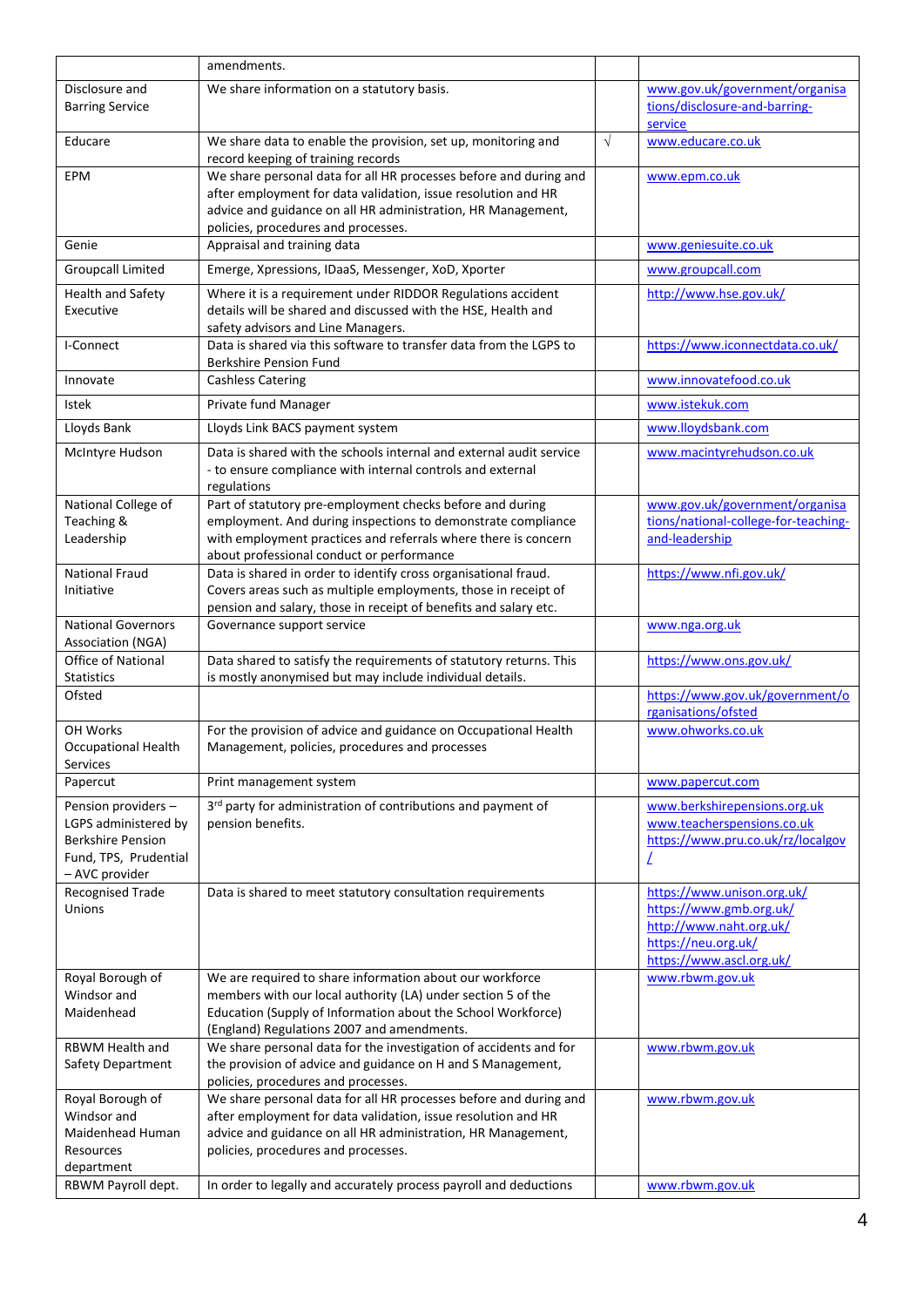|                                                       | amendments.                                                                                                                   |           |                                                        |
|-------------------------------------------------------|-------------------------------------------------------------------------------------------------------------------------------|-----------|--------------------------------------------------------|
| Disclosure and                                        | We share information on a statutory basis.                                                                                    |           | www.gov.uk/government/organisa                         |
| <b>Barring Service</b>                                |                                                                                                                               |           | tions/disclosure-and-barring-<br>service               |
| Educare                                               | We share data to enable the provision, set up, monitoring and<br>record keeping of training records                           | $\sqrt{}$ | www.educare.co.uk                                      |
| EPM                                                   | We share personal data for all HR processes before and during and                                                             |           | www.epm.co.uk                                          |
|                                                       | after employment for data validation, issue resolution and HR<br>advice and guidance on all HR administration, HR Management, |           |                                                        |
|                                                       | policies, procedures and processes.                                                                                           |           |                                                        |
| Genie                                                 | Appraisal and training data                                                                                                   |           | www.geniesuite.co.uk                                   |
| <b>Groupcall Limited</b>                              | Emerge, Xpressions, IDaaS, Messenger, XoD, Xporter                                                                            |           | www.groupcall.com                                      |
| <b>Health and Safety</b>                              | Where it is a requirement under RIDDOR Regulations accident                                                                   |           | http://www.hse.gov.uk/                                 |
| Executive                                             | details will be shared and discussed with the HSE, Health and                                                                 |           |                                                        |
| I-Connect                                             | safety advisors and Line Managers.<br>Data is shared via this software to transfer data from the LGPS to                      |           | https://www.iconnectdata.co.uk/                        |
|                                                       | <b>Berkshire Pension Fund</b>                                                                                                 |           |                                                        |
| Innovate                                              | <b>Cashless Catering</b>                                                                                                      |           | www.innovatefood.co.uk                                 |
| Istek                                                 | Private fund Manager                                                                                                          |           | www.istekuk.com                                        |
| Lloyds Bank                                           | Lloyds Link BACS payment system                                                                                               |           | www.lloydsbank.com                                     |
| McIntyre Hudson                                       | Data is shared with the schools internal and external audit service                                                           |           | www.macintyrehudson.co.uk                              |
|                                                       | - to ensure compliance with internal controls and external<br>regulations                                                     |           |                                                        |
| National College of                                   | Part of statutory pre-employment checks before and during                                                                     |           | www.gov.uk/government/organisa                         |
| Teaching &                                            | employment. And during inspections to demonstrate compliance                                                                  |           | tions/national-college-for-teaching-                   |
| Leadership                                            | with employment practices and referrals where there is concern                                                                |           | and-leadership                                         |
| <b>National Fraud</b>                                 | about professional conduct or performance<br>Data is shared in order to identify cross organisational fraud.                  |           | https://www.nfi.gov.uk/                                |
| Initiative                                            | Covers areas such as multiple employments, those in receipt of                                                                |           |                                                        |
|                                                       | pension and salary, those in receipt of benefits and salary etc.                                                              |           |                                                        |
| <b>National Governors</b><br><b>Association (NGA)</b> | Governance support service                                                                                                    |           | www.nga.org.uk                                         |
| Office of National                                    | Data shared to satisfy the requirements of statutory returns. This                                                            |           | https://www.ons.gov.uk/                                |
| <b>Statistics</b>                                     | is mostly anonymised but may include individual details.                                                                      |           |                                                        |
| Ofsted                                                |                                                                                                                               |           | https://www.gov.uk/government/o<br>rganisations/ofsted |
| OH Works                                              | For the provision of advice and guidance on Occupational Health                                                               |           | www.ohworks.co.uk                                      |
| <b>Occupational Health</b>                            | Management, policies, procedures and processes                                                                                |           |                                                        |
| Services<br>Papercut                                  | Print management system                                                                                                       |           | www.papercut.com                                       |
| Pension providers -                                   | 3rd party for administration of contributions and payment of                                                                  |           | www.berkshirepensions.org.uk                           |
| LGPS administered by                                  | pension benefits.                                                                                                             |           | www.teacherspensions.co.uk                             |
| <b>Berkshire Pension</b>                              |                                                                                                                               |           | https://www.pru.co.uk/rz/localgov                      |
| Fund, TPS, Prudential<br>- AVC provider               |                                                                                                                               |           |                                                        |
| Recognised Trade                                      | Data is shared to meet statutory consultation requirements                                                                    |           | https://www.unison.org.uk/                             |
| Unions                                                |                                                                                                                               |           | https://www.gmb.org.uk/                                |
|                                                       |                                                                                                                               |           | http://www.naht.org.uk/<br>https://neu.org.uk/         |
|                                                       |                                                                                                                               |           | https://www.ascl.org.uk/                               |
| Royal Borough of                                      | We are required to share information about our workforce                                                                      |           | www.rbwm.gov.uk                                        |
| Windsor and<br>Maidenhead                             | members with our local authority (LA) under section 5 of the<br>Education (Supply of Information about the School Workforce)  |           |                                                        |
|                                                       | (England) Regulations 2007 and amendments.                                                                                    |           |                                                        |
| RBWM Health and                                       | We share personal data for the investigation of accidents and for                                                             |           | www.rbwm.gov.uk                                        |
| Safety Department                                     | the provision of advice and guidance on H and S Management,<br>policies, procedures and processes.                            |           |                                                        |
| Royal Borough of                                      | We share personal data for all HR processes before and during and                                                             |           | www.rbwm.gov.uk                                        |
| Windsor and<br>Maidenhead Human                       | after employment for data validation, issue resolution and HR<br>advice and guidance on all HR administration, HR Management, |           |                                                        |
| Resources                                             | policies, procedures and processes.                                                                                           |           |                                                        |
| department                                            |                                                                                                                               |           |                                                        |
| RBWM Payroll dept.                                    | In order to legally and accurately process payroll and deductions                                                             |           | www.rbwm.gov.uk                                        |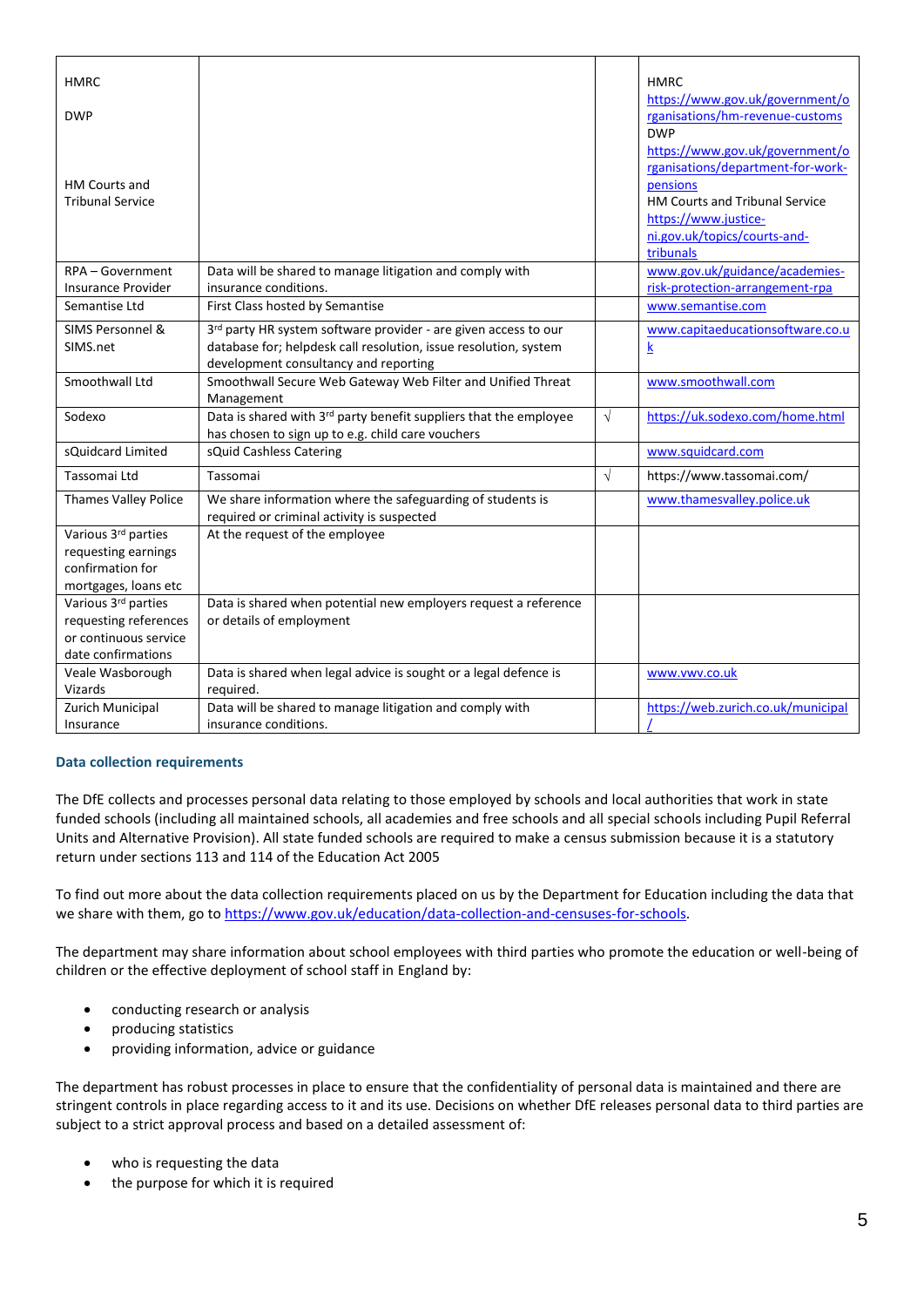| <b>HMRC</b>                                                                                 |                                                                                                                                                                              |           | <b>HMRC</b>                                                                                                                                                 |
|---------------------------------------------------------------------------------------------|------------------------------------------------------------------------------------------------------------------------------------------------------------------------------|-----------|-------------------------------------------------------------------------------------------------------------------------------------------------------------|
| <b>DWP</b>                                                                                  |                                                                                                                                                                              |           | https://www.gov.uk/government/o<br>rganisations/hm-revenue-customs<br><b>DWP</b><br>https://www.gov.uk/government/o                                         |
| HM Courts and<br><b>Tribunal Service</b>                                                    |                                                                                                                                                                              |           | rganisations/department-for-work-<br>pensions<br><b>HM Courts and Tribunal Service</b><br>https://www.justice-<br>ni.gov.uk/topics/courts-and-<br>tribunals |
| RPA - Government<br><b>Insurance Provider</b>                                               | Data will be shared to manage litigation and comply with<br>insurance conditions.                                                                                            |           | www.gov.uk/guidance/academies-<br>risk-protection-arrangement-rpa                                                                                           |
| Semantise Ltd                                                                               | First Class hosted by Semantise                                                                                                                                              |           | www.semantise.com                                                                                                                                           |
| SIMS Personnel &<br>SIMS.net                                                                | 3rd party HR system software provider - are given access to our<br>database for; helpdesk call resolution, issue resolution, system<br>development consultancy and reporting |           | www.capitaeducationsoftware.co.u<br>$\overline{\mathbf{k}}$                                                                                                 |
| Smoothwall Ltd                                                                              | Smoothwall Secure Web Gateway Web Filter and Unified Threat<br>Management                                                                                                    |           | www.smoothwall.com                                                                                                                                          |
| Sodexo                                                                                      | Data is shared with 3rd party benefit suppliers that the employee<br>has chosen to sign up to e.g. child care vouchers                                                       | $\sqrt{}$ | https://uk.sodexo.com/home.html                                                                                                                             |
| sQuidcard Limited                                                                           | sQuid Cashless Catering                                                                                                                                                      |           | www.squidcard.com                                                                                                                                           |
| Tassomai Ltd                                                                                | Tassomai                                                                                                                                                                     | $\sqrt{}$ | https://www.tassomai.com/                                                                                                                                   |
| <b>Thames Valley Police</b>                                                                 | We share information where the safeguarding of students is<br>required or criminal activity is suspected                                                                     |           | www.thamesvalley.police.uk                                                                                                                                  |
| Various 3rd parties<br>requesting earnings<br>confirmation for<br>mortgages, loans etc      | At the request of the employee                                                                                                                                               |           |                                                                                                                                                             |
| Various 3rd parties<br>requesting references<br>or continuous service<br>date confirmations | Data is shared when potential new employers request a reference<br>or details of employment                                                                                  |           |                                                                                                                                                             |
| Veale Wasborough<br>Vizards                                                                 | Data is shared when legal advice is sought or a legal defence is<br>required.                                                                                                |           | www.vwv.co.uk                                                                                                                                               |
| Zurich Municipal<br>Insurance                                                               | Data will be shared to manage litigation and comply with<br>insurance conditions.                                                                                            |           | https://web.zurich.co.uk/municipal                                                                                                                          |

#### **Data collection requirements**

The DfE collects and processes personal data relating to those employed by schools and local authorities that work in state funded schools (including all maintained schools, all academies and free schools and all special schools including Pupil Referral Units and Alternative Provision). All state funded schools are required to make a census submission because it is a statutory return under sections 113 and 114 of the Education Act 2005

To find out more about the data collection requirements placed on us by the Department for Education including the data that we share with them, go to [https://www.gov.uk/education/data-collection-and-censuses-for-schools.](https://www.gov.uk/education/data-collection-and-censuses-for-schools)

The department may share information about school employees with third parties who promote the education or well-being of children or the effective deployment of school staff in England by:

- conducting research or analysis
- producing statistics
- providing information, advice or guidance

The department has robust processes in place to ensure that the confidentiality of personal data is maintained and there are stringent controls in place regarding access to it and its use. Decisions on whether DfE releases personal data to third parties are subject to a strict approval process and based on a detailed assessment of:

- who is requesting the data
- the purpose for which it is required